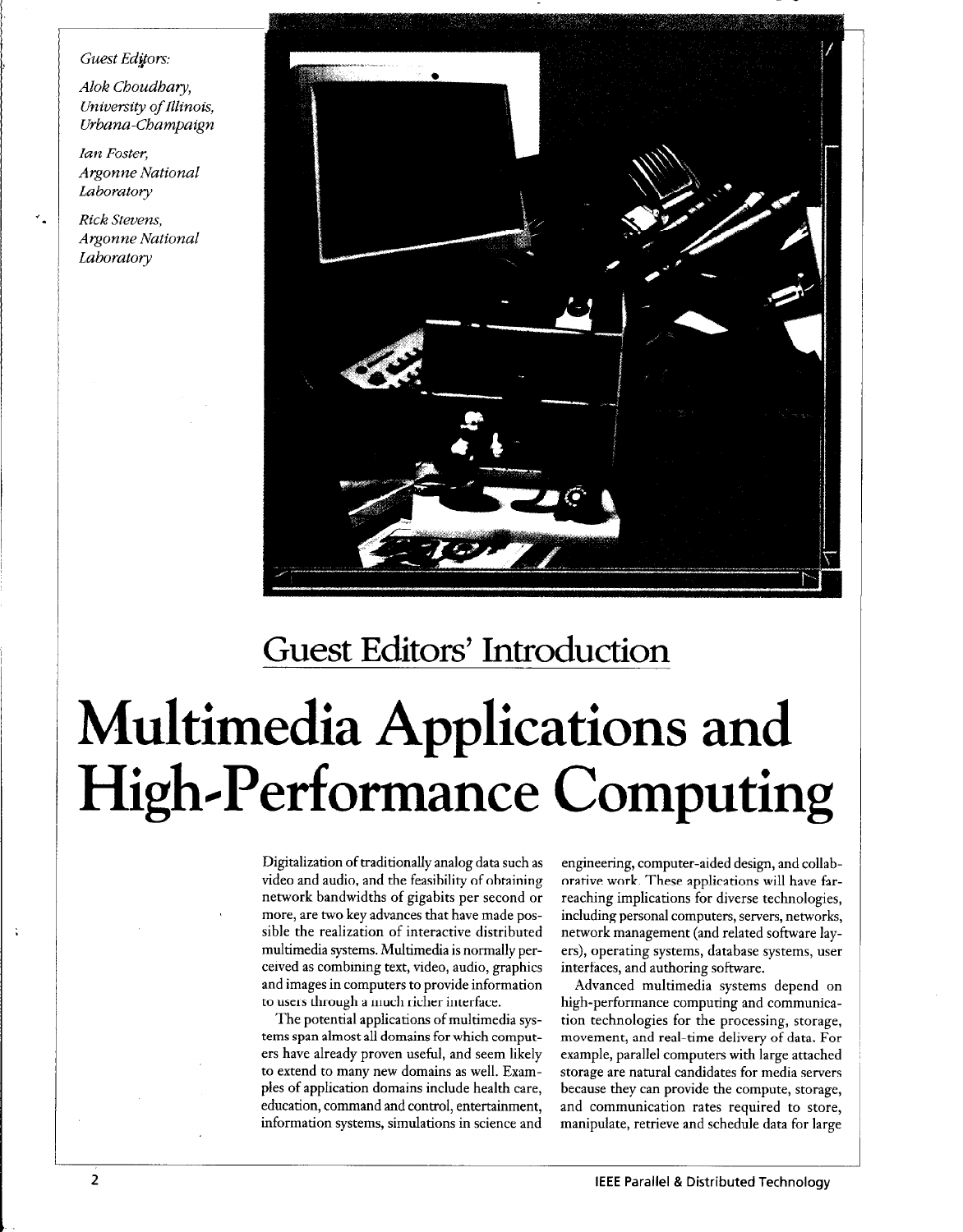## Guest Editors:

Alok Choudhary, University of Illinois, Urbana-Champaign

Ian Foster, Argonne National Laboratory

Rick Stevens, Argonne National Laboratory



## Guest Editors' Introduction

## Multimedia Applications and High-Performance Computing

Digitalization of traditionally analog data such as video and audio, and the feasibility of obtaining network bandwidths of gigabits per second or more, are two key advances that have made possible the realization of interactive distributed multimedia systems. Multimedia is normally perceived as combining text, video, audio, graphics and images in computers to provide information to users through a much richer interface.

The potential applications of multimedia systems span almost all domains for which computers have already proven useful, and seem likely to extend to many new domains as well. Examples of application domains include health care, education, command and control, entertainment, information systems, simulations in science and

engineering, computer-aided design, and collaborative work. These applications will have farreaching implications for diverse technologies, including personal computers, servers, networks, network management (and related software layers), operating systems, database systems, user interfaces, and authoring software.

Advanced multimedia systems depend on high-performance computing and communication technologies for the processing, storage, movement, and real-time delivery of data. For example, parallel computers with large attached storage are natural candidates for media servers because they can provide the compute, storage, and communication rates required to store, manipulate, retrieve and schedule data for large